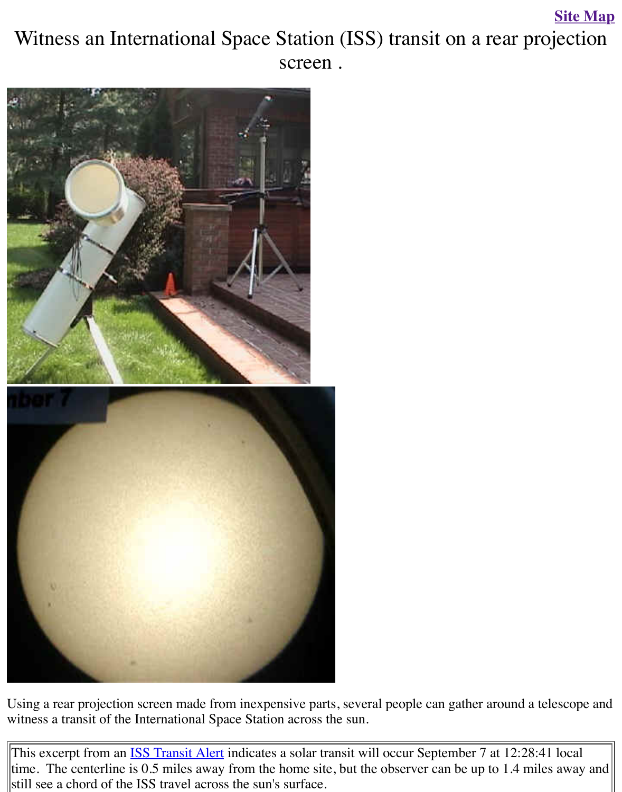



Using a rear projection screen made from inexpensive parts, several people can gather around witness a transit of the International Space Station across the sun.

This excerpt from an **ISS Transit Alert** indicates a solar transit will occur September 7 at 12:2 time. The centerline is  $0.5$  miles away from the home site, but the observer can be up to  $1.4$  n still see a chord of the ISS travel across the sun's surface.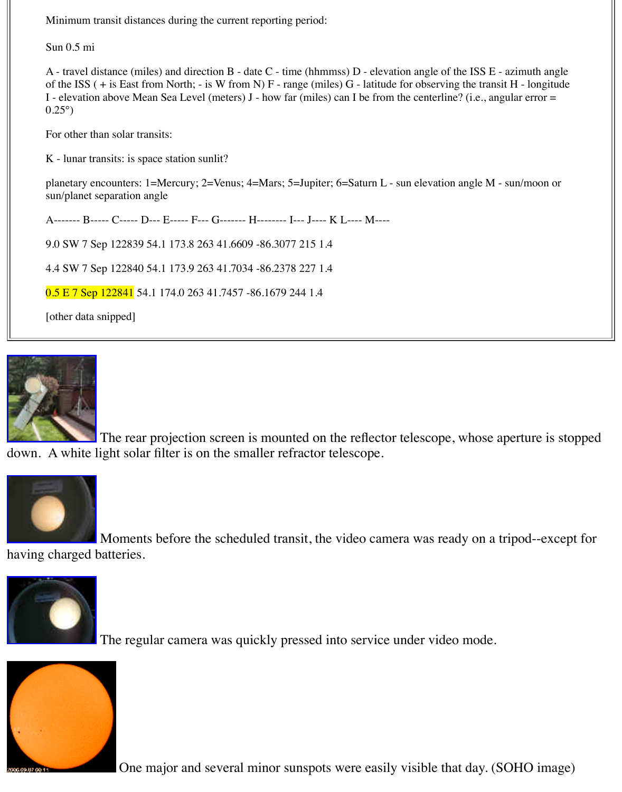$0.25^{\circ}$ 

For other than solar transits:

K - lunar transits: is space station sunlit?

planetary encounters: 1=Mercury; 2=Venus; 4=Mars; 5=Jupiter; 6=Saturn L - sun elevation angle M - sun/n sun/planet separation angle

A------- B----- C----- D--- E----- F--- G------- H-------- I--- J---- K L---- M----

9.0 SW 7 Sep 122839 54.1 173.8 263 41.6609 -86.3077 215 1.4

4.4 SW 7 Sep 122840 54.1 173.9 263 41.7034 -86.2378 227 1.4

0.5 E 7 Sep 122841 54.1 174.0 263 41.7457 -86.1679 244 1.4

[other data snipped]



The rear projection screen is mounted on the reflector telescope, whose aperture is  $\frac{d}{dt}$ down. A white light solar filter is on the smaller refractor telescope.



Moments before the scheduled transit, the video camera was ready on a tripod [having charged b](http://old.transitofvenus.org/iss06-09-07setup2.jpg)atteries.



The regular camera was quickly pressed into service under video mode.



One major and several minor sunspots were easily visible that day. (SOHC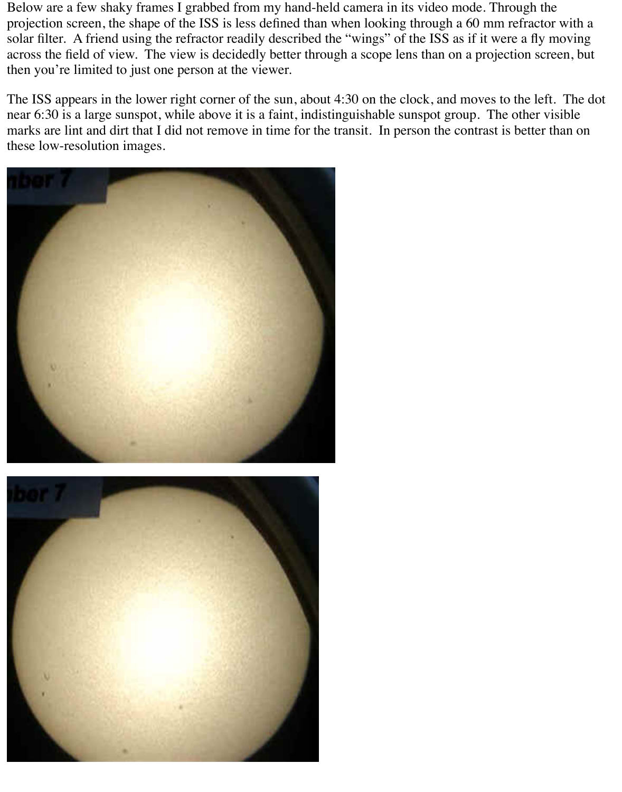Below are a few shaky frames I grabbed from my hand-held camera in its video mode. Through the projection screen, the shape of the ISS is less defined than when looking through a 60 mm refractor with a solar filter. A friend using the refractor readily described the "wings" of the ISS as if it were a fly moving across the field of view. The view is decidedly better through a scope lens than on a projection screen, but then you're limited to just one person at the viewer.

The ISS appears in the lower right corner of the sun, about 4:30 on the clock, and moves to the left. The dot near 6:30 is a large sunspot, while above it is a faint, indistinguishable sunspot group. The other visible marks are lint and dirt that I did not remove in time for the transit. In person the contrast is better than on these low-resolution images.



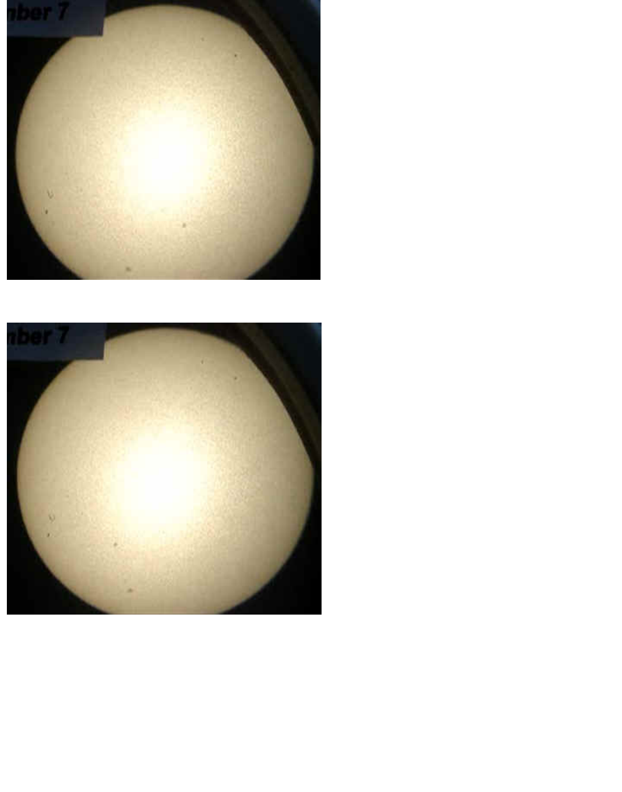

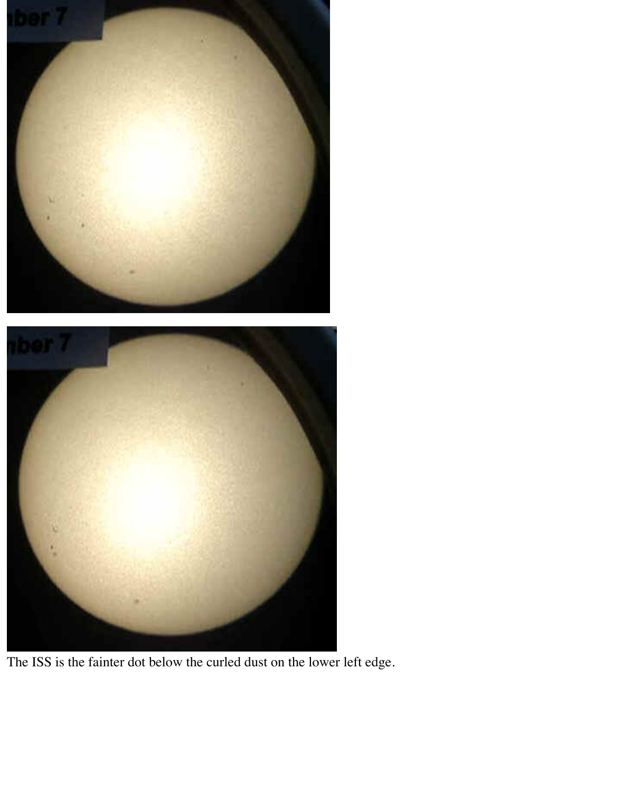



The ISS is the fainter dot below the curled dust on the lower left edge.